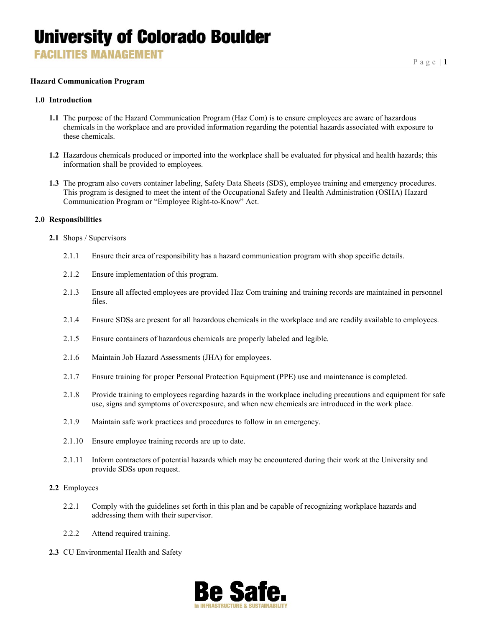**FACILITIES MANAGEMENT** 

#### **Hazard Communication Program**

#### **1.0 Introduction**

- **1.1** The purpose of the Hazard Communication Program (Haz Com) is to ensure employees are aware of hazardous chemicals in the workplace and are provided information regarding the potential hazards associated with exposure to these chemicals.
- **1.2** Hazardous chemicals produced or imported into the workplace shall be evaluated for physical and health hazards; this information shall be provided to employees.
- **1.3** The program also covers container labeling, Safety Data Sheets (SDS), employee training and emergency procedures. This program is designed to meet the intent of the Occupational Safety and Health Administration (OSHA) Hazard Communication Program or "Employee Right-to-Know" Act.

#### **2.0 Responsibilities**

- **2.1** Shops / Supervisors
	- 2.1.1 Ensure their area of responsibility has a hazard communication program with shop specific details.
	- 2.1.2 Ensure implementation of this program.
	- 2.1.3 Ensure all affected employees are provided Haz Com training and training records are maintained in personnel files.
	- 2.1.4 Ensure SDSs are present for all hazardous chemicals in the workplace and are readily available to employees.
	- 2.1.5 Ensure containers of hazardous chemicals are properly labeled and legible.
	- 2.1.6 Maintain Job Hazard Assessments (JHA) for employees.
	- 2.1.7 Ensure training for proper Personal Protection Equipment (PPE) use and maintenance is completed.
	- 2.1.8 Provide training to employees regarding hazards in the workplace including precautions and equipment for safe use, signs and symptoms of overexposure, and when new chemicals are introduced in the work place.
	- 2.1.9 Maintain safe work practices and procedures to follow in an emergency.
	- 2.1.10 Ensure employee training records are up to date.
	- 2.1.11 Inform contractors of potential hazards which may be encountered during their work at the University and provide SDSs upon request.

#### **2.2** Employees

- 2.2.1 Comply with the guidelines set forth in this plan and be capable of recognizing workplace hazards and addressing them with their supervisor.
- 2.2.2 Attend required training.
- **2.3** CU Environmental Health and Safety

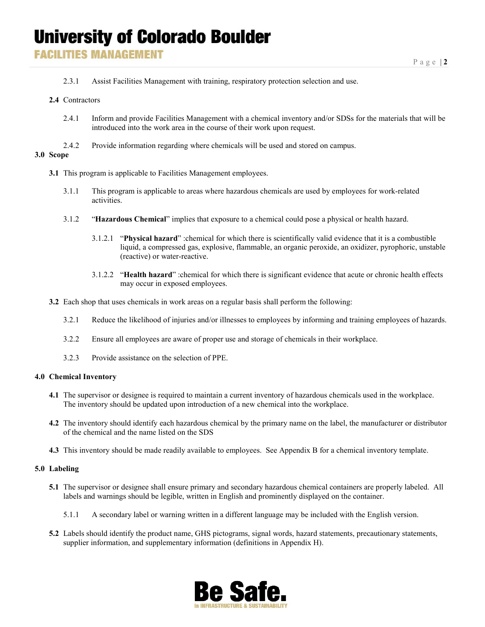### **FACILITIES MANAGEMENT**

2.3.1 Assist Facilities Management with training, respiratory protection selection and use.

#### **2.4** Contractors

- 2.4.1 Inform and provide Facilities Management with a chemical inventory and/or SDSs for the materials that will be introduced into the work area in the course of their work upon request.
- 2.4.2 Provide information regarding where chemicals will be used and stored on campus.

#### **3.0 Scope**

- **3.1** This program is applicable to Facilities Management employees.
	- 3.1.1 This program is applicable to areas where hazardous chemicals are used by employees for work-related activities.
	- 3.1.2 "**Hazardous Chemical**" implies that exposure to a chemical could pose a physical or health hazard.
		- 3.1.2.1 "**Physical hazard**" :chemical for which there is scientifically valid evidence that it is a combustible liquid, a compressed gas, explosive, flammable, an organic peroxide, an oxidizer, pyrophoric, unstable (reactive) or water-reactive.
		- 3.1.2.2 "**Health hazard**" :chemical for which there is significant evidence that acute or chronic health effects may occur in exposed employees.
- **3.2** Each shop that uses chemicals in work areas on a regular basis shall perform the following:
	- 3.2.1 Reduce the likelihood of injuries and/or illnesses to employees by informing and training employees of hazards.
	- 3.2.2 Ensure all employees are aware of proper use and storage of chemicals in their workplace.
	- 3.2.3 Provide assistance on the selection of PPE.

#### **4.0 Chemical Inventory**

- **4.1** The supervisor or designee is required to maintain a current inventory of hazardous chemicals used in the workplace. The inventory should be updated upon introduction of a new chemical into the workplace.
- **4.2** The inventory should identify each hazardous chemical by the primary name on the label, the manufacturer or distributor of the chemical and the name listed on the SDS
- **4.3** This inventory should be made readily available to employees. See Appendix B for a chemical inventory template.

#### **5.0 Labeling**

- **5.1** The supervisor or designee shall ensure primary and secondary hazardous chemical containers are properly labeled. All labels and warnings should be legible, written in English and prominently displayed on the container.
	- 5.1.1 A secondary label or warning written in a different language may be included with the English version.
- **5.2** Labels should identify the product name, GHS pictograms, signal words, hazard statements, precautionary statements, supplier information, and supplementary information (definitions in Appendix H).

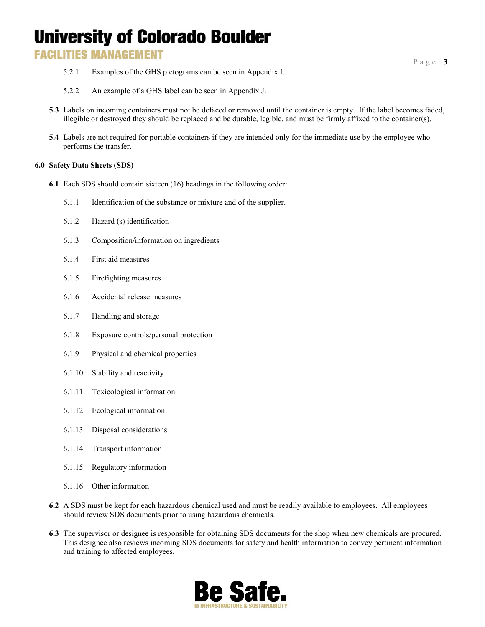### **FACILITIES MANAGEMENT**

- 5.2.1 Examples of the GHS pictograms can be seen in Appendix I.
- 5.2.2 An example of a GHS label can be seen in Appendix J.
- **5.3** Labels on incoming containers must not be defaced or removed until the container is empty. If the label becomes faded, illegible or destroyed they should be replaced and be durable, legible, and must be firmly affixed to the container(s).
- **5.4** Labels are not required for portable containers if they are intended only for the immediate use by the employee who performs the transfer.

#### **6.0 Safety Data Sheets (SDS)**

- **6.1** Each SDS should contain sixteen (16) headings in the following order:
	- 6.1.1 Identification of the substance or mixture and of the supplier.
	- 6.1.2 Hazard (s) identification
	- 6.1.3 Composition/information on ingredients
	- 6.1.4 First aid measures
	- 6.1.5 Firefighting measures
	- 6.1.6 Accidental release measures
	- 6.1.7 Handling and storage
	- 6.1.8 Exposure controls/personal protection
	- 6.1.9 Physical and chemical properties
	- 6.1.10 Stability and reactivity
	- 6.1.11 Toxicological information
	- 6.1.12 Ecological information
	- 6.1.13 Disposal considerations
	- 6.1.14 Transport information
	- 6.1.15 Regulatory information
	- 6.1.16 Other information
- **6.2** A SDS must be kept for each hazardous chemical used and must be readily available to employees. All employees should review SDS documents prior to using hazardous chemicals.
- **6.3** The supervisor or designee is responsible for obtaining SDS documents for the shop when new chemicals are procured. This designee also reviews incoming SDS documents for safety and health information to convey pertinent information and training to affected employees.

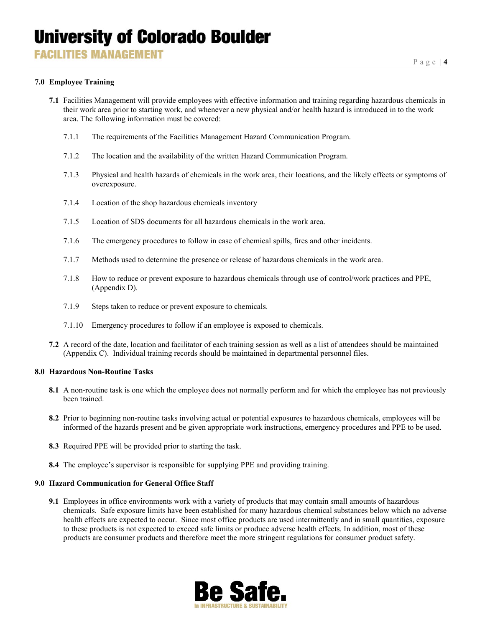#### **7.0 Employee Training**

- **7.1** Facilities Management will provide employees with effective information and training regarding hazardous chemicals in their work area prior to starting work, and whenever a new physical and/or health hazard is introduced in to the work area. The following information must be covered:
	- 7.1.1 The requirements of the Facilities Management Hazard Communication Program.
	- 7.1.2 The location and the availability of the written Hazard Communication Program.
	- 7.1.3 Physical and health hazards of chemicals in the work area, their locations, and the likely effects or symptoms of overexposure.
	- 7.1.4 Location of the shop hazardous chemicals inventory
	- 7.1.5 Location of SDS documents for all hazardous chemicals in the work area.
	- 7.1.6 The emergency procedures to follow in case of chemical spills, fires and other incidents.
	- 7.1.7 Methods used to determine the presence or release of hazardous chemicals in the work area.
	- 7.1.8 How to reduce or prevent exposure to hazardous chemicals through use of control/work practices and PPE, (Appendix D).
	- 7.1.9 Steps taken to reduce or prevent exposure to chemicals.
	- 7.1.10 Emergency procedures to follow if an employee is exposed to chemicals.
- **7.2** A record of the date, location and facilitator of each training session as well as a list of attendees should be maintained (Appendix C). Individual training records should be maintained in departmental personnel files.

#### **8.0 Hazardous Non-Routine Tasks**

- **8.1** A non-routine task is one which the employee does not normally perform and for which the employee has not previously been trained.
- **8.2** Prior to beginning non-routine tasks involving actual or potential exposures to hazardous chemicals, employees will be informed of the hazards present and be given appropriate work instructions, emergency procedures and PPE to be used.
- **8.3** Required PPE will be provided prior to starting the task.
- **8.4** The employee's supervisor is responsible for supplying PPE and providing training.

#### **9.0 Hazard Communication for General Office Staff**

**9.1** Employees in office environments work with a variety of products that may contain small amounts of hazardous chemicals. Safe exposure limits have been established for many hazardous chemical substances below which no adverse health effects are expected to occur. Since most office products are used intermittently and in small quantities, exposure to these products is not expected to exceed safe limits or produce adverse health effects. In addition, most of these products are consumer products and therefore meet the more stringent regulations for consumer product safety.

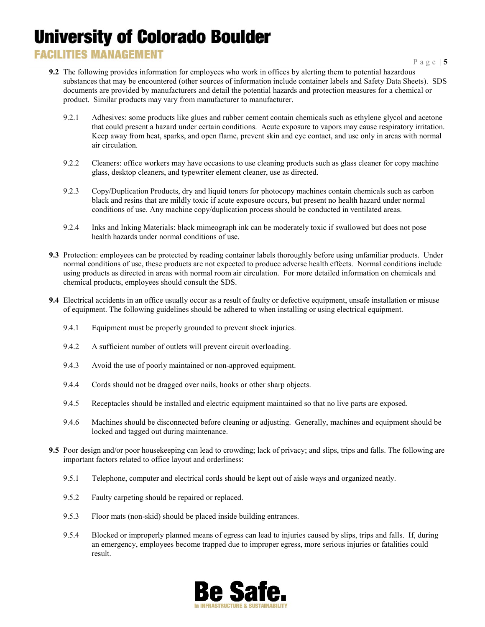### **FACILITIES MANAGEMENT**

Page | **5**

- **9.2** The following provides information for employees who work in offices by alerting them to potential hazardous substances that may be encountered (other sources of information include container labels and Safety Data Sheets). SDS documents are provided by manufacturers and detail the potential hazards and protection measures for a chemical or product. Similar products may vary from manufacturer to manufacturer.
	- 9.2.1 Adhesives: some products like glues and rubber cement contain chemicals such as ethylene glycol and acetone that could present a hazard under certain conditions. Acute exposure to vapors may cause respiratory irritation. Keep away from heat, sparks, and open flame, prevent skin and eye contact, and use only in areas with normal air circulation.
	- 9.2.2 Cleaners: office workers may have occasions to use cleaning products such as glass cleaner for copy machine glass, desktop cleaners, and typewriter element cleaner, use as directed.
	- 9.2.3 Copy/Duplication Products, dry and liquid toners for photocopy machines contain chemicals such as carbon black and resins that are mildly toxic if acute exposure occurs, but present no health hazard under normal conditions of use. Any machine copy/duplication process should be conducted in ventilated areas.
	- 9.2.4 Inks and Inking Materials: black mimeograph ink can be moderately toxic if swallowed but does not pose health hazards under normal conditions of use.
- **9.3** Protection: employees can be protected by reading container labels thoroughly before using unfamiliar products. Under normal conditions of use, these products are not expected to produce adverse health effects. Normal conditions include using products as directed in areas with normal room air circulation. For more detailed information on chemicals and chemical products, employees should consult the SDS.
- **9.4** Electrical accidents in an office usually occur as a result of faulty or defective equipment, unsafe installation or misuse of equipment. The following guidelines should be adhered to when installing or using electrical equipment.
	- 9.4.1 Equipment must be properly grounded to prevent shock injuries.
	- 9.4.2 A sufficient number of outlets will prevent circuit overloading.
	- 9.4.3 Avoid the use of poorly maintained or non-approved equipment.
	- 9.4.4 Cords should not be dragged over nails, hooks or other sharp objects.
	- 9.4.5 Receptacles should be installed and electric equipment maintained so that no live parts are exposed.
	- 9.4.6 Machines should be disconnected before cleaning or adjusting. Generally, machines and equipment should be locked and tagged out during maintenance.
- **9.5** Poor design and/or poor housekeeping can lead to crowding; lack of privacy; and slips, trips and falls. The following are important factors related to office layout and orderliness:
	- 9.5.1 Telephone, computer and electrical cords should be kept out of aisle ways and organized neatly.
	- 9.5.2 Faulty carpeting should be repaired or replaced.
	- 9.5.3 Floor mats (non-skid) should be placed inside building entrances.
	- 9.5.4 Blocked or improperly planned means of egress can lead to injuries caused by slips, trips and falls. If, during an emergency, employees become trapped due to improper egress, more serious injuries or fatalities could result.

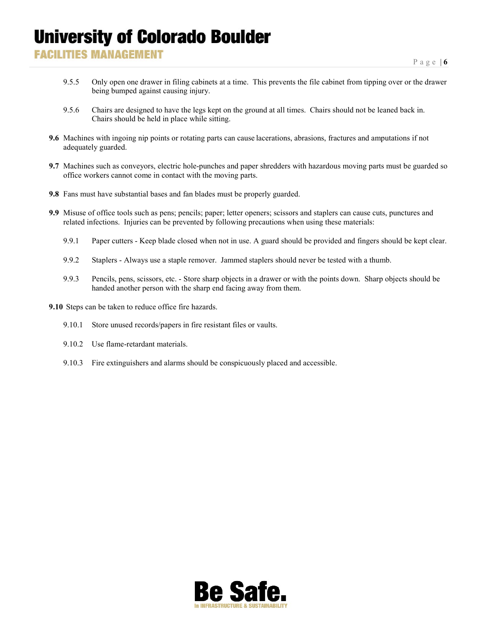### **FACILITIES MANAGEMENT**

- 9.5.5 Only open one drawer in filing cabinets at a time. This prevents the file cabinet from tipping over or the drawer being bumped against causing injury.
- 9.5.6 Chairs are designed to have the legs kept on the ground at all times. Chairs should not be leaned back in. Chairs should be held in place while sitting.
- **9.6** Machines with ingoing nip points or rotating parts can cause lacerations, abrasions, fractures and amputations if not adequately guarded.
- **9.7** Machines such as conveyors, electric hole-punches and paper shredders with hazardous moving parts must be guarded so office workers cannot come in contact with the moving parts.
- **9.8** Fans must have substantial bases and fan blades must be properly guarded.
- **9.9** Misuse of office tools such as pens; pencils; paper; letter openers; scissors and staplers can cause cuts, punctures and related infections. Injuries can be prevented by following precautions when using these materials:
	- 9.9.1 Paper cutters Keep blade closed when not in use. A guard should be provided and fingers should be kept clear.
	- 9.9.2 Staplers Always use a staple remover. Jammed staplers should never be tested with a thumb.
	- 9.9.3 Pencils, pens, scissors, etc. Store sharp objects in a drawer or with the points down. Sharp objects should be handed another person with the sharp end facing away from them.

**9.10** Steps can be taken to reduce office fire hazards.

- 9.10.1 Store unused records/papers in fire resistant files or vaults.
- 9.10.2 Use flame-retardant materials.
- 9.10.3 Fire extinguishers and alarms should be conspicuously placed and accessible.

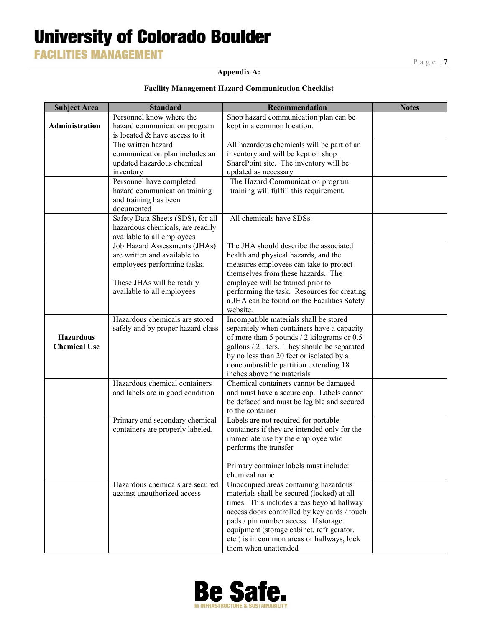**FACILITIES MANAGEMENT** 

#### **Appendix A:**

#### **Facility Management Hazard Communication Checklist**

| <b>Subject Area</b> | <b>Standard</b>                                               | Recommendation                                                                       | <b>Notes</b> |
|---------------------|---------------------------------------------------------------|--------------------------------------------------------------------------------------|--------------|
|                     | Personnel know where the                                      | Shop hazard communication plan can be                                                |              |
| Administration      | hazard communication program                                  | kept in a common location.                                                           |              |
|                     | is located & have access to it                                |                                                                                      |              |
|                     | The written hazard                                            | All hazardous chemicals will be part of an                                           |              |
|                     | communication plan includes an                                | inventory and will be kept on shop                                                   |              |
|                     | updated hazardous chemical                                    | SharePoint site. The inventory will be                                               |              |
|                     | inventory                                                     | updated as necessary                                                                 |              |
|                     | Personnel have completed                                      | The Hazard Communication program                                                     |              |
|                     | hazard communication training                                 | training will fulfill this requirement.                                              |              |
|                     | and training has been                                         |                                                                                      |              |
|                     | documented                                                    |                                                                                      |              |
|                     | Safety Data Sheets (SDS), for all                             | All chemicals have SDSs.                                                             |              |
|                     | hazardous chemicals, are readily                              |                                                                                      |              |
|                     | available to all employees                                    | The JHA should describe the associated                                               |              |
|                     | Job Hazard Assessments (JHAs)<br>are written and available to |                                                                                      |              |
|                     | employees performing tasks.                                   | health and physical hazards, and the<br>measures employees can take to protect       |              |
|                     |                                                               | themselves from these hazards. The                                                   |              |
|                     | These JHAs will be readily                                    | employee will be trained prior to                                                    |              |
|                     | available to all employees                                    | performing the task. Resources for creating                                          |              |
|                     |                                                               | a JHA can be found on the Facilities Safety                                          |              |
|                     |                                                               | website.                                                                             |              |
|                     | Hazardous chemicals are stored                                | Incompatible materials shall be stored                                               |              |
|                     | safely and by proper hazard class                             | separately when containers have a capacity                                           |              |
| <b>Hazardous</b>    |                                                               | of more than 5 pounds / 2 kilograms or 0.5                                           |              |
| <b>Chemical Use</b> |                                                               | gallons / 2 liters. They should be separated                                         |              |
|                     |                                                               | by no less than 20 feet or isolated by a                                             |              |
|                     |                                                               | noncombustible partition extending 18                                                |              |
|                     |                                                               | inches above the materials                                                           |              |
|                     | Hazardous chemical containers                                 | Chemical containers cannot be damaged                                                |              |
|                     | and labels are in good condition                              | and must have a secure cap. Labels cannot                                            |              |
|                     |                                                               | be defaced and must be legible and secured                                           |              |
|                     |                                                               | to the container                                                                     |              |
|                     | Primary and secondary chemical                                | Labels are not required for portable<br>containers if they are intended only for the |              |
|                     | containers are properly labeled.                              |                                                                                      |              |
|                     |                                                               | immediate use by the employee who<br>performs the transfer                           |              |
|                     |                                                               |                                                                                      |              |
|                     |                                                               | Primary container labels must include:                                               |              |
|                     |                                                               | chemical name                                                                        |              |
|                     | Hazardous chemicals are secured                               | Unoccupied areas containing hazardous                                                |              |
|                     | against unauthorized access                                   | materials shall be secured (locked) at all                                           |              |
|                     |                                                               | times. This includes areas beyond hallway                                            |              |
|                     |                                                               | access doors controlled by key cards / touch                                         |              |
|                     |                                                               | pads / pin number access. If storage                                                 |              |
|                     |                                                               | equipment (storage cabinet, refrigerator,                                            |              |
|                     |                                                               | etc.) is in common areas or hallways, lock                                           |              |
|                     |                                                               | them when unattended                                                                 |              |

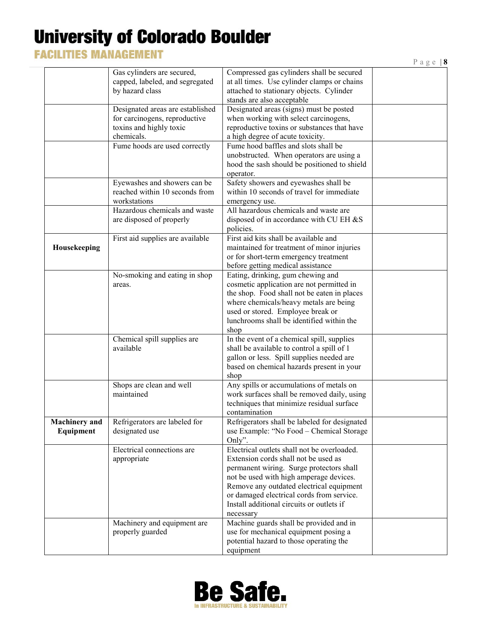### **FACILITIES MANAGEMENT**

|--|--|--|--|--|

|                                   |                                                                                                            |                                                                                                                                                                                                                                                                                                                               | $\cdots$ |
|-----------------------------------|------------------------------------------------------------------------------------------------------------|-------------------------------------------------------------------------------------------------------------------------------------------------------------------------------------------------------------------------------------------------------------------------------------------------------------------------------|----------|
|                                   | Gas cylinders are secured,<br>capped, labeled, and segregated<br>by hazard class                           | Compressed gas cylinders shall be secured<br>at all times. Use cylinder clamps or chains<br>attached to stationary objects. Cylinder<br>stands are also acceptable                                                                                                                                                            |          |
|                                   | Designated areas are established<br>for carcinogens, reproductive<br>toxins and highly toxic<br>chemicals. | Designated areas (signs) must be posted<br>when working with select carcinogens,<br>reproductive toxins or substances that have<br>a high degree of acute toxicity.                                                                                                                                                           |          |
|                                   | Fume hoods are used correctly                                                                              | Fume hood baffles and slots shall be<br>unobstructed. When operators are using a<br>hood the sash should be positioned to shield<br>operator.                                                                                                                                                                                 |          |
|                                   | Eyewashes and showers can be<br>reached within 10 seconds from<br>workstations                             | Safety showers and eyewashes shall be<br>within 10 seconds of travel for immediate<br>emergency use.                                                                                                                                                                                                                          |          |
|                                   | Hazardous chemicals and waste<br>are disposed of properly                                                  | All hazardous chemicals and waste are<br>disposed of in accordance with CU EH &S<br>policies.                                                                                                                                                                                                                                 |          |
| Housekeeping                      | First aid supplies are available                                                                           | First aid kits shall be available and<br>maintained for treatment of minor injuries<br>or for short-term emergency treatment<br>before getting medical assistance                                                                                                                                                             |          |
|                                   | No-smoking and eating in shop<br>areas.                                                                    | Eating, drinking, gum chewing and<br>cosmetic application are not permitted in<br>the shop. Food shall not be eaten in places<br>where chemicals/heavy metals are being<br>used or stored. Employee break or<br>lunchrooms shall be identified within the<br>shop                                                             |          |
|                                   | Chemical spill supplies are<br>available                                                                   | In the event of a chemical spill, supplies<br>shall be available to control a spill of 1<br>gallon or less. Spill supplies needed are<br>based on chemical hazards present in your<br>shop                                                                                                                                    |          |
|                                   | Shops are clean and well<br>maintained                                                                     | Any spills or accumulations of metals on<br>work surfaces shall be removed daily, using<br>techniques that minimize residual surface<br>contamination                                                                                                                                                                         |          |
| <b>Machinery</b> and<br>Equipment | Refrigerators are labeled for<br>designated use                                                            | Refrigerators shall be labeled for designated<br>use Example: "No Food - Chemical Storage<br>Only".                                                                                                                                                                                                                           |          |
|                                   | Electrical connections are<br>appropriate                                                                  | Electrical outlets shall not be overloaded.<br>Extension cords shall not be used as<br>permanent wiring. Surge protectors shall<br>not be used with high amperage devices.<br>Remove any outdated electrical equipment<br>or damaged electrical cords from service.<br>Install additional circuits or outlets if<br>necessary |          |
|                                   | Machinery and equipment are<br>properly guarded                                                            | Machine guards shall be provided and in<br>use for mechanical equipment posing a<br>potential hazard to those operating the<br>equipment                                                                                                                                                                                      |          |

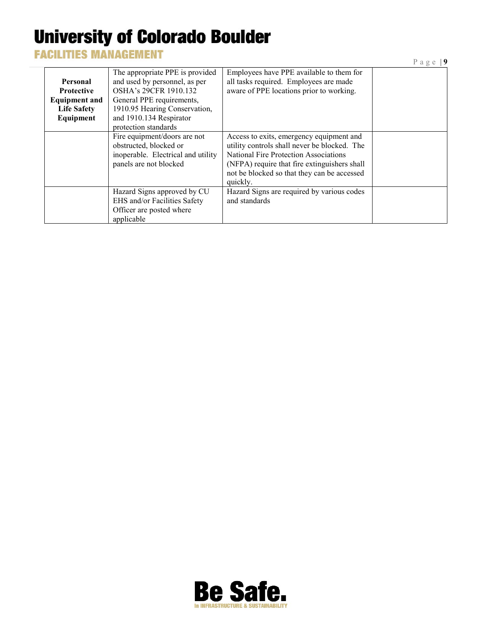### **FACILITIES MANAGEMENT**

|                                                                                          |                                                                                                                                                                                                            |                                                                                                                                                                                                                                                     | Page   $9$ |
|------------------------------------------------------------------------------------------|------------------------------------------------------------------------------------------------------------------------------------------------------------------------------------------------------------|-----------------------------------------------------------------------------------------------------------------------------------------------------------------------------------------------------------------------------------------------------|------------|
| Personal<br><b>Protective</b><br><b>Equipment and</b><br><b>Life Safety</b><br>Equipment | The appropriate PPE is provided<br>and used by personnel, as per<br>OSHA's 29CFR 1910.132<br>General PPE requirements,<br>1910.95 Hearing Conservation,<br>and 1910.134 Respirator<br>protection standards | Employees have PPE available to them for<br>all tasks required. Employees are made<br>aware of PPE locations prior to working.                                                                                                                      |            |
|                                                                                          | Fire equipment/doors are not<br>obstructed, blocked or<br>inoperable. Electrical and utility<br>panels are not blocked                                                                                     | Access to exits, emergency equipment and<br>utility controls shall never be blocked. The<br><b>National Fire Protection Associations</b><br>(NFPA) require that fire extinguishers shall<br>not be blocked so that they can be accessed<br>quickly. |            |
|                                                                                          | Hazard Signs approved by CU<br>EHS and/or Facilities Safety<br>Officer are posted where<br>applicable                                                                                                      | Hazard Signs are required by various codes<br>and standards                                                                                                                                                                                         |            |

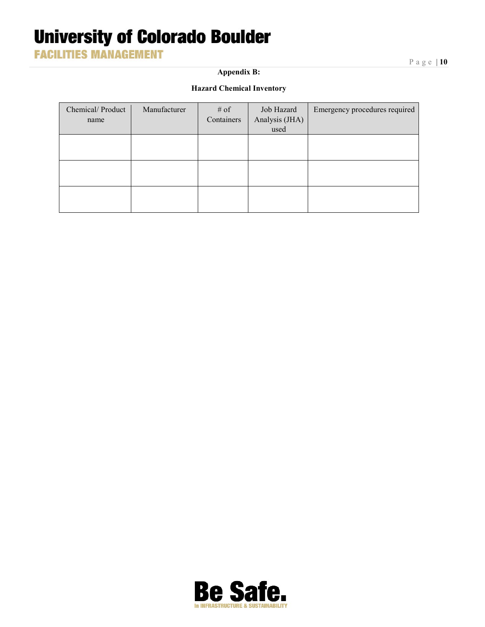**FACILITIES MANAGEMENT** 

**Appendix B:**

Page | **10**

#### **Hazard Chemical Inventory**

| Chemical/Product<br>name | Manufacturer | # of<br>Containers | Job Hazard<br>Analysis (JHA)<br>used | Emergency procedures required |
|--------------------------|--------------|--------------------|--------------------------------------|-------------------------------|
|                          |              |                    |                                      |                               |
|                          |              |                    |                                      |                               |
|                          |              |                    |                                      |                               |

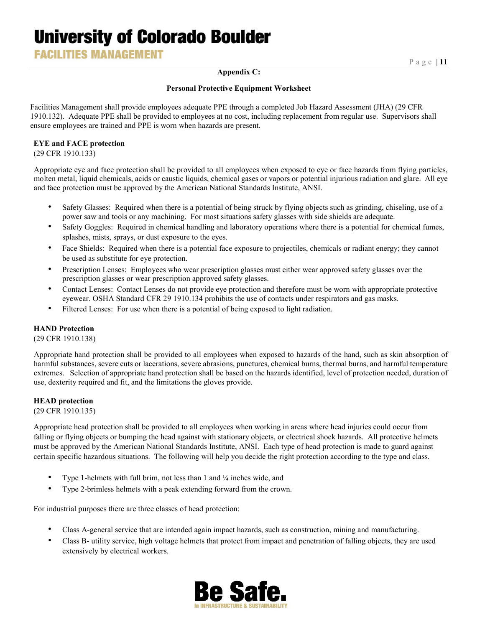**FACILITIES MANAGEMENT** 

#### **Appendix C:**

#### **Personal Protective Equipment Worksheet**

Facilities Management shall provide employees adequate PPE through a completed Job Hazard Assessment (JHA) (29 CFR 1910.132). Adequate PPE shall be provided to employees at no cost, including replacement from regular use. Supervisors shall ensure employees are trained and PPE is worn when hazards are present.

#### **EYE and FACE protection**

(29 CFR 1910.133)

Appropriate eye and face protection shall be provided to all employees when exposed to eye or face hazards from flying particles, molten metal, liquid chemicals, acids or caustic liquids, chemical gases or vapors or potential injurious radiation and glare. All eye and face protection must be approved by the American National Standards Institute, ANSI.

- Safety Glasses: Required when there is a potential of being struck by flying objects such as grinding, chiseling, use of a power saw and tools or any machining. For most situations safety glasses with side shields are adequate.
- Safety Goggles: Required in chemical handling and laboratory operations where there is a potential for chemical fumes, splashes, mists, sprays, or dust exposure to the eyes.
- Face Shields: Required when there is a potential face exposure to projectiles, chemicals or radiant energy; they cannot be used as substitute for eye protection.
- Prescription Lenses: Employees who wear prescription glasses must either wear approved safety glasses over the prescription glasses or wear prescription approved safety glasses.
- Contact Lenses: Contact Lenses do not provide eye protection and therefore must be worn with appropriate protective eyewear. OSHA Standard CFR 29 1910.134 prohibits the use of contacts under respirators and gas masks.
- Filtered Lenses: For use when there is a potential of being exposed to light radiation.

#### **HAND Protection**

(29 CFR 1910.138)

Appropriate hand protection shall be provided to all employees when exposed to hazards of the hand, such as skin absorption of harmful substances, severe cuts or lacerations, severe abrasions, punctures, chemical burns, thermal burns, and harmful temperature extremes. Selection of appropriate hand protection shall be based on the hazards identified, level of protection needed, duration of use, dexterity required and fit, and the limitations the gloves provide.

#### **HEAD protection**

(29 CFR 1910.135)

Appropriate head protection shall be provided to all employees when working in areas where head injuries could occur from falling or flying objects or bumping the head against with stationary objects, or electrical shock hazards. All protective helmets must be approved by the American National Standards Institute, ANSI. Each type of head protection is made to guard against certain specific hazardous situations. The following will help you decide the right protection according to the type and class.

- Type 1-helmets with full brim, not less than 1 and 1/4 inches wide, and
- Type 2-brimless helmets with a peak extending forward from the crown.

For industrial purposes there are three classes of head protection:

- Class A-general service that are intended again impact hazards, such as construction, mining and manufacturing.
- Class B- utility service, high voltage helmets that protect from impact and penetration of falling objects, they are used extensively by electrical workers.

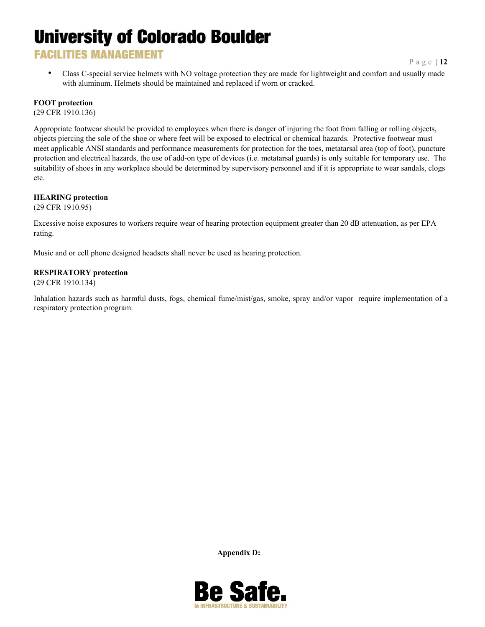### **FACILITIES MANAGEMENT**

• Class C-special service helmets with NO voltage protection they are made for lightweight and comfort and usually made with aluminum. Helmets should be maintained and replaced if worn or cracked.

#### **FOOT protection**

(29 CFR 1910.136)

Appropriate footwear should be provided to employees when there is danger of injuring the foot from falling or rolling objects, objects piercing the sole of the shoe or where feet will be exposed to electrical or chemical hazards. Protective footwear must meet applicable ANSI standards and performance measurements for protection for the toes, metatarsal area (top of foot), puncture protection and electrical hazards, the use of add-on type of devices (i.e. metatarsal guards) is only suitable for temporary use. The suitability of shoes in any workplace should be determined by supervisory personnel and if it is appropriate to wear sandals, clogs etc.

#### **HEARING protection**

(29 CFR 1910.95)

Excessive noise exposures to workers require wear of hearing protection equipment greater than 20 dB attenuation, as per EPA rating.

Music and or cell phone designed headsets shall never be used as hearing protection.

#### **RESPIRATORY protection**

(29 CFR 1910.134)

Inhalation hazards such as harmful dusts, fogs, chemical fume/mist/gas, smoke, spray and/or vapor require implementation of a respiratory protection progra[m.](http://www.ehs.ohio-state.edu/)

**Appendix D:**

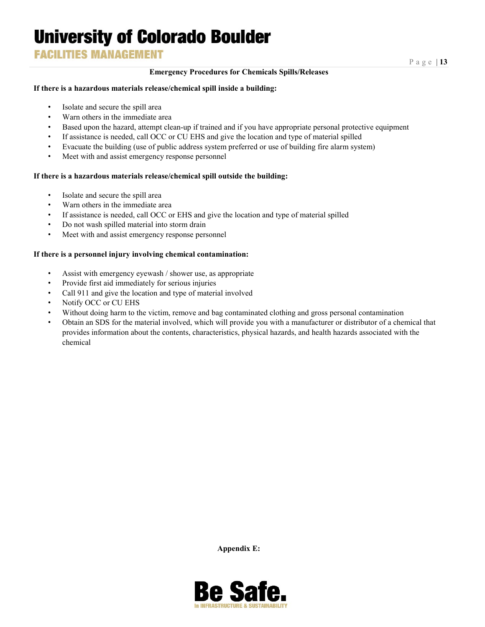### **FACILITIES MANAGEMENT**

#### **Emergency Procedures for Chemicals Spills/Releases**

#### **If there is a hazardous materials release/chemical spill inside a building:**

- Isolate and secure the spill area
- Warn others in the immediate area
- Based upon the hazard, attempt clean-up if trained and if you have appropriate personal protective equipment
- If assistance is needed, call OCC or CU EHS and give the location and type of material spilled
- Evacuate the building (use of public address system preferred or use of building fire alarm system)
- Meet with and assist emergency response personnel

#### **If there is a hazardous materials release/chemical spill outside the building:**

- Isolate and secure the spill area
- Warn others in the immediate area
- If assistance is needed, call OCC or EHS and give the location and type of material spilled
- Do not wash spilled material into storm drain
- Meet with and assist emergency response personnel

#### **If there is a personnel injury involving chemical contamination:**

- Assist with emergency eyewash / shower use, as appropriate
- Provide first aid immediately for serious injuries
- Call 911 and give the location and type of material involved
- Notify OCC or CU EHS
- Without doing harm to the victim, remove and bag contaminated clothing and gross personal contamination
- Obtain an SDS for the material involved, which will provide you with a manufacturer or distributor of a chemical that provides information about the contents, characteristics, physical hazards, and health hazards associated with the chemical

**Appendix E:**

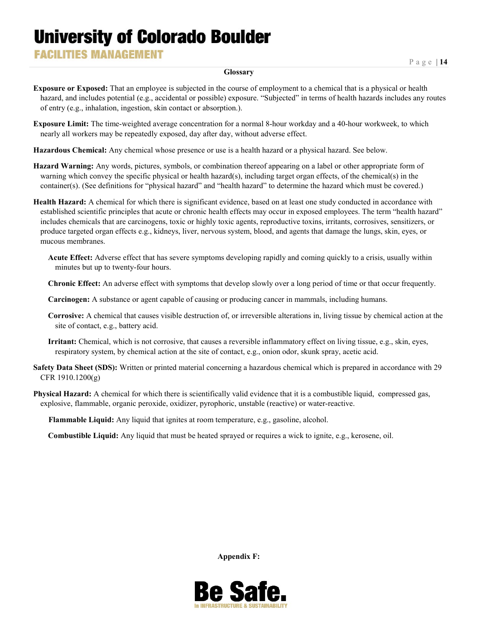**FACILITIES MANAGEMENT** 

#### **Glossary**

**Exposure or Exposed:** That an employee is subjected in the course of employment to a chemical that is a physical or health hazard, and includes potential (e.g., accidental or possible) exposure. "Subjected" in terms of health hazards includes any routes of entry (e.g., inhalation, ingestion, skin contact or absorption.).

**Exposure Limit:** The time-weighted average concentration for a normal 8-hour workday and a 40-hour workweek, to which nearly all workers may be repeatedly exposed, day after day, without adverse effect.

**Hazardous Chemical:** Any chemical whose presence or use is a health hazard or a physical hazard. See below.

**Hazard Warning:** Any words, pictures, symbols, or combination thereof appearing on a label or other appropriate form of warning which convey the specific physical or health hazard(s), including target organ effects, of the chemical(s) in the container(s). (See definitions for "physical hazard" and "health hazard" to determine the hazard which must be covered.)

**Health Hazard:** A chemical for which there is significant evidence, based on at least one study conducted in accordance with established scientific principles that acute or chronic health effects may occur in exposed employees. The term "health hazard" includes chemicals that are carcinogens, toxic or highly toxic agents, reproductive toxins, irritants, corrosives, sensitizers, or produce targeted organ effects e.g., kidneys, liver, nervous system, blood, and agents that damage the lungs, skin, eyes, or mucous membranes.

**Acute Effect:** Adverse effect that has severe symptoms developing rapidly and coming quickly to a crisis, usually within minutes but up to twenty-four hours.

**Chronic Effect:** An adverse effect with symptoms that develop slowly over a long period of time or that occur frequently.

**Carcinogen:** A substance or agent capable of causing or producing cancer in mammals, including humans.

**Corrosive:** A chemical that causes visible destruction of, or irreversible alterations in, living tissue by chemical action at the site of contact, e.g., battery acid.

**Irritant:** Chemical, which is not corrosive, that causes a reversible inflammatory effect on living tissue, e.g., skin, eyes, respiratory system, by chemical action at the site of contact, e.g., onion odor, skunk spray, acetic acid.

**Safety Data Sheet (SDS):** Written or printed material concerning a hazardous chemical which is prepared in accordance with 29 CFR 1910.1200(g)

**Physical Hazard:** A chemical for which there is scientifically valid evidence that it is a combustible liquid, compressed gas, explosive, flammable, organic peroxide, oxidizer, pyrophoric, unstable (reactive) or water-reactive.

**Flammable Liquid:** Any liquid that ignites at room temperature, e.g., gasoline, alcohol.

**Combustible Liquid:** Any liquid that must be heated sprayed or requires a wick to ignite, e.g., kerosene, oil.

**Appendix F:**

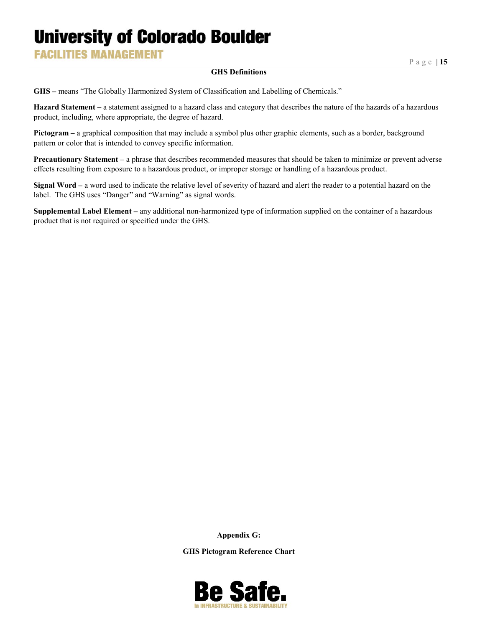**FACILITIES MANAGEMENT** 

#### **GHS Definitions**

**GHS –** means "The Globally Harmonized System of Classification and Labelling of Chemicals."

**Hazard Statement –** a statement assigned to a hazard class and category that describes the nature of the hazards of a hazardous product, including, where appropriate, the degree of hazard.

**Pictogram –** a graphical composition that may include a symbol plus other graphic elements, such as a border, background pattern or color that is intended to convey specific information.

**Precautionary Statement –** a phrase that describes recommended measures that should be taken to minimize or prevent adverse effects resulting from exposure to a hazardous product, or improper storage or handling of a hazardous product.

**Signal Word –** a word used to indicate the relative level of severity of hazard and alert the reader to a potential hazard on the label. The GHS uses "Danger" and "Warning" as signal words.

**Supplemental Label Element –** any additional non-harmonized type of information supplied on the container of a hazardous product that is not required or specified under the GHS.

**Appendix G:**

**GHS Pictogram Reference Chart**

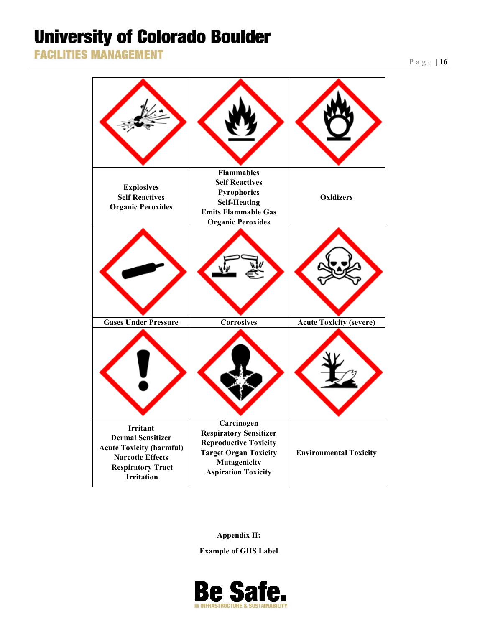**FACILITIES MANAGEMENT** 

| <b>Explosives</b><br><b>Self Reactives</b><br><b>Organic Peroxides</b>                                                                                     | <b>Flammables</b><br><b>Self Reactives</b><br>Pyrophorics<br><b>Self-Heating</b><br><b>Emits Flammable Gas</b><br><b>Organic Peroxides</b>                | <b>Oxidizers</b>               |
|------------------------------------------------------------------------------------------------------------------------------------------------------------|-----------------------------------------------------------------------------------------------------------------------------------------------------------|--------------------------------|
|                                                                                                                                                            |                                                                                                                                                           |                                |
| <b>Gases Under Pressure</b>                                                                                                                                | <b>Corrosives</b>                                                                                                                                         | <b>Acute Toxicity (severe)</b> |
| <b>Irritant</b><br><b>Dermal Sensitizer</b><br><b>Acute Toxicity (harmful)</b><br><b>Narcotic Effects</b><br><b>Respiratory Tract</b><br><b>Irritation</b> | Carcinogen<br><b>Respiratory Sensitizer</b><br><b>Reproductive Toxicity</b><br><b>Target Organ Toxicity</b><br>Mutagenicity<br><b>Aspiration Toxicity</b> | <b>Environmental Toxicity</b>  |

**Appendix H:**

**Example of GHS Label**